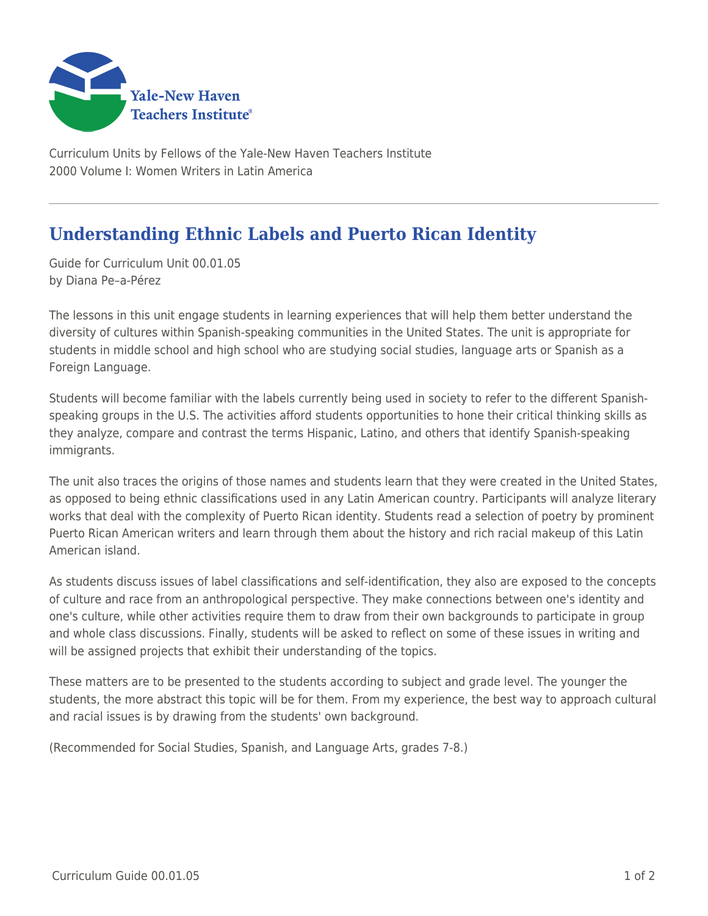

Curriculum Units by Fellows of the Yale-New Haven Teachers Institute 2000 Volume I: Women Writers in Latin America

## **Understanding Ethnic Labels and Puerto Rican Identity**

Guide for Curriculum Unit 00.01.05 by Diana Pe–a-Pérez

The lessons in this unit engage students in learning experiences that will help them better understand the diversity of cultures within Spanish-speaking communities in the United States. The unit is appropriate for students in middle school and high school who are studying social studies, language arts or Spanish as a Foreign Language.

Students will become familiar with the labels currently being used in society to refer to the different Spanishspeaking groups in the U.S. The activities afford students opportunities to hone their critical thinking skills as they analyze, compare and contrast the terms Hispanic, Latino, and others that identify Spanish-speaking immigrants.

The unit also traces the origins of those names and students learn that they were created in the United States, as opposed to being ethnic classifications used in any Latin American country. Participants will analyze literary works that deal with the complexity of Puerto Rican identity. Students read a selection of poetry by prominent Puerto Rican American writers and learn through them about the history and rich racial makeup of this Latin American island.

As students discuss issues of label classifications and self-identification, they also are exposed to the concepts of culture and race from an anthropological perspective. They make connections between one's identity and one's culture, while other activities require them to draw from their own backgrounds to participate in group and whole class discussions. Finally, students will be asked to reflect on some of these issues in writing and will be assigned projects that exhibit their understanding of the topics.

These matters are to be presented to the students according to subject and grade level. The younger the students, the more abstract this topic will be for them. From my experience, the best way to approach cultural and racial issues is by drawing from the students' own background.

(Recommended for Social Studies, Spanish, and Language Arts, grades 7-8.)